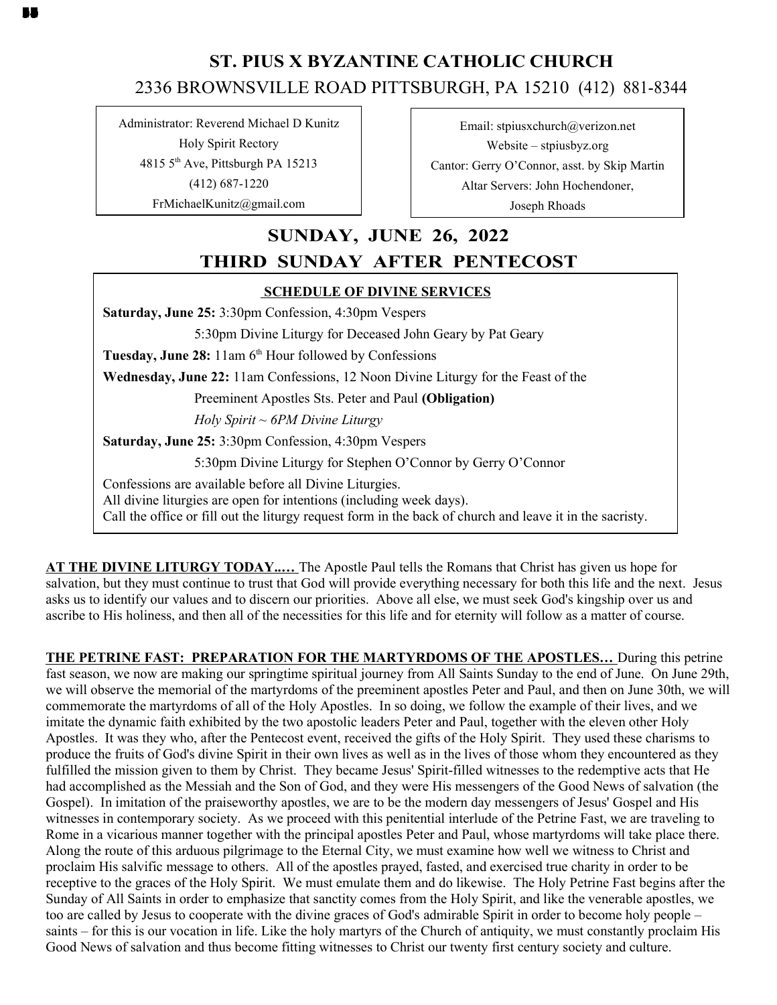# ST. PIUS X BYZANTINE CATHOLIC CHURCH 2336 BROWNSVILLE ROAD PITTSBURGH, PA 15210 (412) 881-8344

Administrator: Reverend Michael D Kunitz Holy Spirit Rectory 4815 5th Ave, Pittsburgh PA 15213 (412) 687-1220 FrMichaelKunitz@gmail.com

12345678923456789123456789123456789123456789123456789134524890123567890134567890123456780123456789012345678901456738901245367890124567890123456789012345678901234567890123456789012345689012345678901234567890123

Email: stpiusxchurch@verizon.net Website – stpiusbyz.org Cantor: Gerry O'Connor, asst. by Skip Martin Altar Servers: John Hochendoner, Joseph Rhoads

## SUNDAY, JUNE 26, 2022 THIRD SUNDAY AFTER PENTECOST

## **SCHEDULE OF DIVINE SERVICES** Saturday, June 25: 3:30pm Confession, 4:30pm Vespers 5:30pm Divine Liturgy for Deceased John Geary by Pat Geary Tuesday, June 28: 11am 6<sup>th</sup> Hour followed by Confessions Wednesday, June 22: 11am Confessions, 12 Noon Divine Liturgy for the Feast of the Preeminent Apostles Sts. Peter and Paul (Obligation)  $Holy$  Spirit  $\sim$  6PM Divine Liturgy Saturday, June 25: 3:30pm Confession, 4:30pm Vespers 5:30pm Divine Liturgy for Stephen O'Connor by Gerry O'Connor Confessions are available before all Divine Liturgies. All divine liturgies are open for intentions (including week days). Call the office or fill out the liturgy request form in the back of church and leave it in the sacristy.

AT THE DIVINE LITURGY TODAY..... The Apostle Paul tells the Romans that Christ has given us hope for salvation, but they must continue to trust that God will provide everything necessary for both this life and the next. Jesus asks us to identify our values and to discern our priorities. Above all else, we must seek God's kingship over us and ascribe to His holiness, and then all of the necessities for this life and for eternity will follow as a matter of course.

THE PETRINE FAST: PREPARATION FOR THE MARTYRDOMS OF THE APOSTLES… During this petrine fast season, we now are making our springtime spiritual journey from All Saints Sunday to the end of June. On June 29th, we will observe the memorial of the martyrdoms of the preeminent apostles Peter and Paul, and then on June 30th, we will commemorate the martyrdoms of all of the Holy Apostles. In so doing, we follow the example of their lives, and we imitate the dynamic faith exhibited by the two apostolic leaders Peter and Paul, together with the eleven other Holy Apostles. It was they who, after the Pentecost event, received the gifts of the Holy Spirit. They used these charisms to produce the fruits of God's divine Spirit in their own lives as well as in the lives of those whom they encountered as they fulfilled the mission given to them by Christ. They became Jesus' Spirit-filled witnesses to the redemptive acts that He had accomplished as the Messiah and the Son of God, and they were His messengers of the Good News of salvation (the Gospel). In imitation of the praiseworthy apostles, we are to be the modern day messengers of Jesus' Gospel and His witnesses in contemporary society. As we proceed with this penitential interlude of the Petrine Fast, we are traveling to Rome in a vicarious manner together with the principal apostles Peter and Paul, whose martyrdoms will take place there. Along the route of this arduous pilgrimage to the Eternal City, we must examine how well we witness to Christ and proclaim His salvific message to others. All of the apostles prayed, fasted, and exercised true charity in order to be receptive to the graces of the Holy Spirit. We must emulate them and do likewise. The Holy Petrine Fast begins after the Sunday of All Saints in order to emphasize that sanctity comes from the Holy Spirit, and like the venerable apostles, we too are called by Jesus to cooperate with the divine graces of God's admirable Spirit in order to become holy people – saints – for this is our vocation in life. Like the holy martyrs of the Church of antiquity, we must constantly proclaim His Good News of salvation and thus become fitting witnesses to Christ our twenty first century society and culture.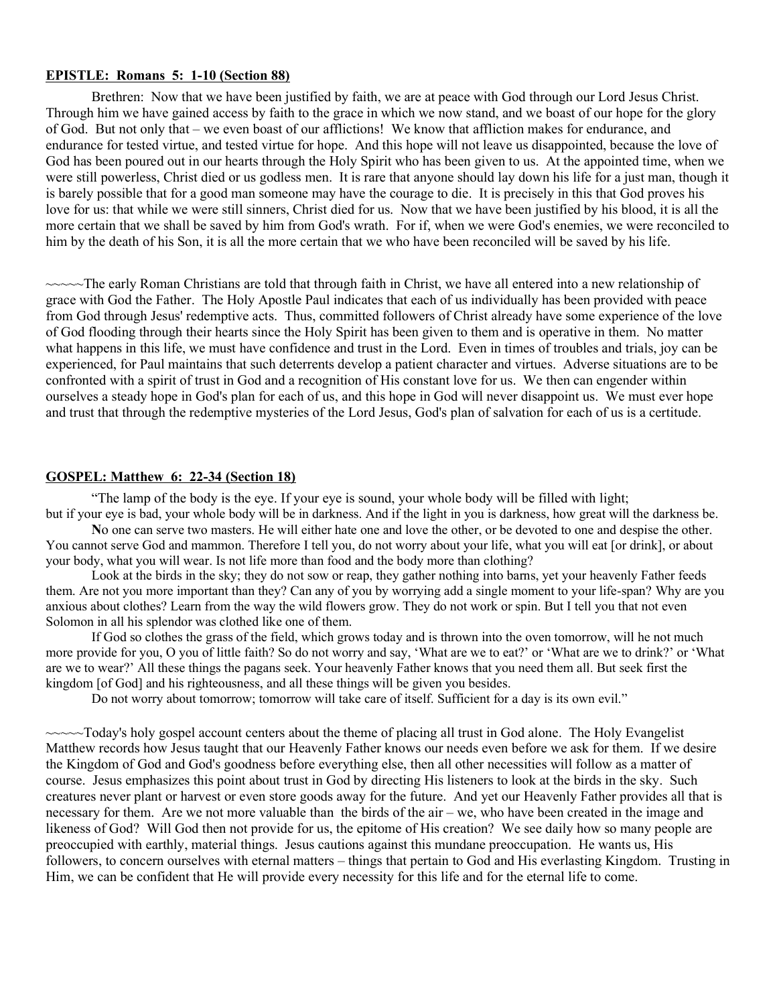#### EPISTLE: Romans 5: 1-10 (Section 88)

Brethren: Now that we have been justified by faith, we are at peace with God through our Lord Jesus Christ. Through him we have gained access by faith to the grace in which we now stand, and we boast of our hope for the glory of God. But not only that – we even boast of our afflictions! We know that affliction makes for endurance, and endurance for tested virtue, and tested virtue for hope. And this hope will not leave us disappointed, because the love of God has been poured out in our hearts through the Holy Spirit who has been given to us. At the appointed time, when we were still powerless, Christ died or us godless men. It is rare that anyone should lay down his life for a just man, though it is barely possible that for a good man someone may have the courage to die. It is precisely in this that God proves his love for us: that while we were still sinners, Christ died for us. Now that we have been justified by his blood, it is all the more certain that we shall be saved by him from God's wrath. For if, when we were God's enemies, we were reconciled to him by the death of his Son, it is all the more certain that we who have been reconciled will be saved by his life.

~~~~~The early Roman Christians are told that through faith in Christ, we have all entered into a new relationship of grace with God the Father. The Holy Apostle Paul indicates that each of us individually has been provided with peace from God through Jesus' redemptive acts. Thus, committed followers of Christ already have some experience of the love of God flooding through their hearts since the Holy Spirit has been given to them and is operative in them. No matter what happens in this life, we must have confidence and trust in the Lord. Even in times of troubles and trials, joy can be experienced, for Paul maintains that such deterrents develop a patient character and virtues. Adverse situations are to be confronted with a spirit of trust in God and a recognition of His constant love for us. We then can engender within ourselves a steady hope in God's plan for each of us, and this hope in God will never disappoint us. We must ever hope and trust that through the redemptive mysteries of the Lord Jesus, God's plan of salvation for each of us is a certitude.

#### GOSPEL: Matthew 6: 22-34 (Section 18)

"The lamp of the body is the eye. If your eye is sound, your whole body will be filled with light; but if your eye is bad, your whole body will be in darkness. And if the light in you is darkness, how great will the darkness be.

No one can serve two masters. He will either hate one and love the other, or be devoted to one and despise the other. You cannot serve God and mammon. Therefore I tell you, do not worry about your life, what you will eat [or drink], or about your body, what you will wear. Is not life more than food and the body more than clothing?

Look at the birds in the sky; they do not sow or reap, they gather nothing into barns, yet your heavenly Father feeds them. Are not you more important than they? Can any of you by worrying add a single moment to your life-span? Why are you anxious about clothes? Learn from the way the wild flowers grow. They do not work or spin. But I tell you that not even Solomon in all his splendor was clothed like one of them.

If God so clothes the grass of the field, which grows today and is thrown into the oven tomorrow, will he not much more provide for you, O you of little faith? So do not worry and say, 'What are we to eat?' or 'What are we to drink?' or 'What are we to wear?' All these things the pagans seek. Your heavenly Father knows that you need them all. But seek first the kingdom [of God] and his righteousness, and all these things will be given you besides.

Do not worry about tomorrow; tomorrow will take care of itself. Sufficient for a day is its own evil."

~~~~~Today's holy gospel account centers about the theme of placing all trust in God alone. The Holy Evangelist Matthew records how Jesus taught that our Heavenly Father knows our needs even before we ask for them. If we desire the Kingdom of God and God's goodness before everything else, then all other necessities will follow as a matter of course. Jesus emphasizes this point about trust in God by directing His listeners to look at the birds in the sky. Such creatures never plant or harvest or even store goods away for the future. And yet our Heavenly Father provides all that is necessary for them. Are we not more valuable than the birds of the air – we, who have been created in the image and likeness of God? Will God then not provide for us, the epitome of His creation? We see daily how so many people are preoccupied with earthly, material things. Jesus cautions against this mundane preoccupation. He wants us, His followers, to concern ourselves with eternal matters – things that pertain to God and His everlasting Kingdom. Trusting in Him, we can be confident that He will provide every necessity for this life and for the eternal life to come.